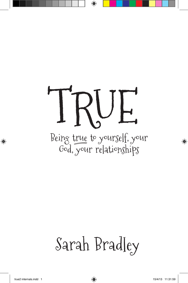# Being true to yourself, your God, your relationships TRUE

## Sarah Bradley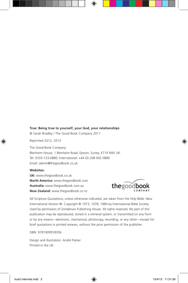#### **True: Being true to yourself, your God, your relationships**

© Sarah Bradley / The Good Book Company 2011

Reprinted 2012, 2013

The Good Book Company Blenheim House, 1 Blenheim Road, Epsom, Surrey, KT19 9AP, UK. Tel: 0333-123-0880; International: +44 (0) 208 942 0880 Email: admin@thegoodbook.co.uk

#### **Websites:**

**UK:** www.thegoodbook.co.uk **North America:** www.thegoodbook.com **Australia:** www.thegoodbook.com.au **New Zealand:** www.thegoodbook.co.nz



All Scripture Quotations, unless otherwise indicated, are taken from the Holy Bible: New International Version ®. Copyright © 1973, 1978, 1984 by International Bible Society. Used by permission of Zondervan Publishing House. All rights reserved. No part of this publication may be reproduced, stored in a retrieval system, or transmitted on any form or by any means—electronic, mechanical, photocopy, recording, or any other—except for brief quotations in printed reviews, without the prior permission of the publisher.

#### ISBN: 9781909559356

Design and illustration: André Parker Printed in the UK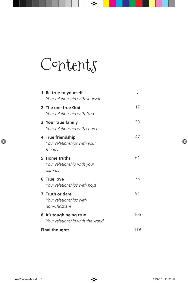## Contents

| 1 Be true to yourself<br>Your relationship with yourself     | 5   |
|--------------------------------------------------------------|-----|
| 2 The one true God<br>Your relationship with God             | 17  |
| 3 Your true family<br>Your relationship with church          | 33  |
| 4 True friendship<br>Your relationships with your<br>friends | 47  |
| 5 Home truths<br>Your relationship with your<br>parents      | 61  |
| 6 True love<br>Your relationships with boys                  | 75  |
| 7 Truth or dare<br>Your relationships with<br>non-Christians | 91  |
| 8 It's tough being true<br>Your relationship with the world  | 105 |
| <b>Final thoughts</b>                                        |     |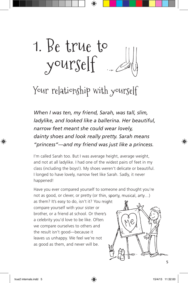1. Be true to yourself

## Your relationship with yourself

*When I was ten, my friend, Sarah, was tall, slim, ladylike, and looked like a ballerina. Her beautiful, narrow feet meant she could wear lovely, dainty shoes and look really pretty. Sarah means "princess"—and my friend was just like a princess.* 

I'm called Sarah too. But I was average height, average weight, and not at all ladylike. I had one of the widest pairs of feet in my class (including the boys!). My shoes weren't delicate or beautiful. I longed to have lovely, narrow feet like Sarah. Sadly, it never happened!

Have you ever compared yourself to someone and thought you're not as good, or clever, or pretty (or thin, sporty, musical, arty…)

as them? It's easy to do, isn't it? You might compare yourself with your sister or brother, or a friend at school. Or there's a celebrity you'd love to be like. Often we compare ourselves to others and the result isn't good—because it leaves us unhappy. We feel we're not as good as them, and never will be.

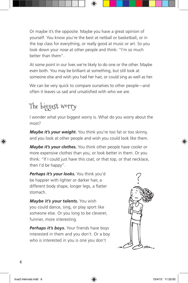Or maybe it's the opposite. Maybe you have a great opinion of yourself. You know you're the best at netball or basketball, or in the top class for everything, or really good at music or art. So you look down your nose at other people and think: "I'm so much better than them".

At some point in our lives we're likely to do one or the other. Maybe even both. You may be brilliant at something, but still look at someone else and wish you had her hair, or could sing as well as her.

We can be very quick to compare ourselves to other people—and often it leaves us sad and unsatisfied with who we are.

### The biggest worry

I wonder what your biggest worry is. What do you worry about the most?

*Maybe it's your weight.* You think you're too fat or too skinny, and you look at other people and wish you could look like them.

*Maybe it's your clothes.* You think other people have cooler or more expensive clothes than you, or look better in them. Or you think: "If I could just have this coat, or that top, or that necklace, then I'd be happy".

*Perhaps it's your looks.* You think you'd be happier with lighter or darker hair, a different body shape, longer legs, a flatter stomach.

*Maybe it's your talents.* You wish you could dance, sing, or play sport like someone else. Or you long to be cleverer, funnier, more interesting.

**Perhaps it's boys.** Your friends have boys interested in them and you don't. Or a boy who is interested in you is one you don't